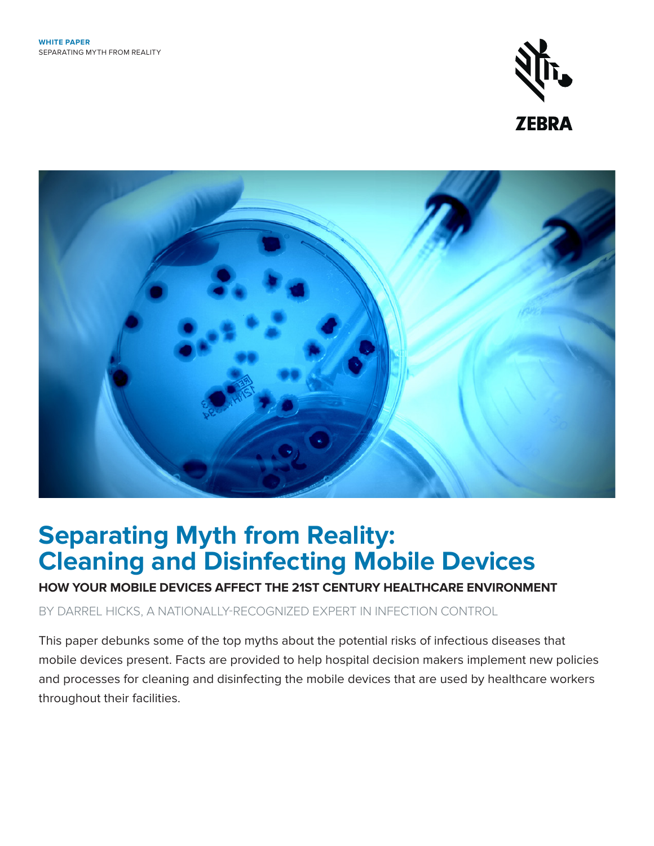



# **Separating Myth from Reality: Cleaning and Disinfecting Mobile Devices**

## **HOW YOUR MOBILE DEVICES AFFECT THE 21ST CENTURY HEALTHCARE ENVIRONMENT**

BY DARREL HICKS, A NATIONALLY-RECOGNIZED EXPERT IN INFECTION CONTROL

This paper debunks some of the top myths about the potential risks of infectious diseases that mobile devices present. Facts are provided to help hospital decision makers implement new policies and processes for cleaning and disinfecting the mobile devices that are used by healthcare workers throughout their facilities.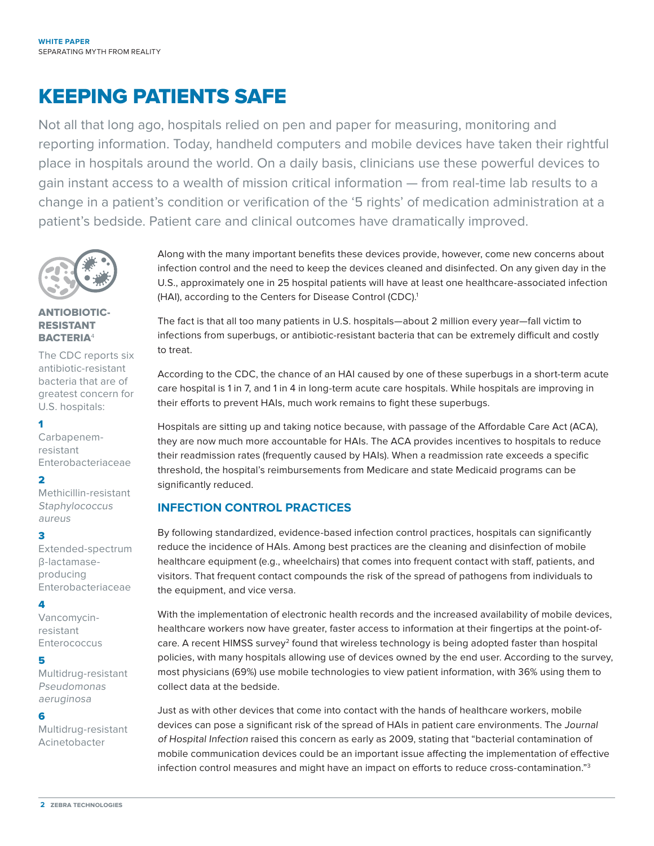## KEEPING PATIENTS SAFE

Not all that long ago, hospitals relied on pen and paper for measuring, monitoring and reporting information. Today, handheld computers and mobile devices have taken their rightful place in hospitals around the world. On a daily basis, clinicians use these powerful devices to gain instant access to a wealth of mission critical information — from real-time lab results to a change in a patient's condition or verification of the '5 rights' of medication administration at a patient's bedside. Patient care and clinical outcomes have dramatically improved.



#### ANTIOBIOTIC-RESISTANT BACTERIA<sup>4</sup>

The CDC reports six antibiotic-resistant bacteria that are of greatest concern for U.S. hospitals:

#### 1

Carbapenemresistant Enterobacteriaceae

#### 2

Methicillin-resistant **Staphylococcus** aureus

#### 3

Extended-spectrum β-lactamaseproducing Enterobacteriaceae

#### 4

Vancomycinresistant **Enterococcus** 

#### 5

Multidrug-resistant Pseudomonas aeruginosa

#### 6

Multidrug-resistant Acinetobacter

Along with the many important benefits these devices provide, however, come new concerns about infection control and the need to keep the devices cleaned and disinfected. On any given day in the U.S., approximately one in 25 hospital patients will have at least one healthcare-associated infection (HAI), according to the Centers for Disease Control (CDC).<sup>1</sup>

The fact is that all too many patients in U.S. hospitals—about 2 million every year—fall victim to infections from superbugs, or antibiotic-resistant bacteria that can be extremely difficult and costly to treat.

According to the CDC, the chance of an HAI caused by one of these superbugs in a short-term acute care hospital is 1 in 7, and 1 in 4 in long-term acute care hospitals. While hospitals are improving in their efforts to prevent HAIs, much work remains to fight these superbugs.

Hospitals are sitting up and taking notice because, with passage of the Affordable Care Act (ACA), they are now much more accountable for HAIs. The ACA provides incentives to hospitals to reduce their readmission rates (frequently caused by HAIs). When a readmission rate exceeds a specific threshold, the hospital's reimbursements from Medicare and state Medicaid programs can be significantly reduced.

#### **INFECTION CONTROL PRACTICES**

By following standardized, evidence-based infection control practices, hospitals can significantly reduce the incidence of HAIs. Among best practices are the cleaning and disinfection of mobile healthcare equipment (e.g., wheelchairs) that comes into frequent contact with staff, patients, and visitors. That frequent contact compounds the risk of the spread of pathogens from individuals to the equipment, and vice versa.

With the implementation of electronic health records and the increased availability of mobile devices, healthcare workers now have greater, faster access to information at their fingertips at the point-ofcare. A recent HIMSS survey<sup>2</sup> found that wireless technology is being adopted faster than hospital policies, with many hospitals allowing use of devices owned by the end user. According to the survey, most physicians (69%) use mobile technologies to view patient information, with 36% using them to collect data at the bedside.

Just as with other devices that come into contact with the hands of healthcare workers, mobile devices can pose a significant risk of the spread of HAIs in patient care environments. The Journal of Hospital Infection raised this concern as early as 2009, stating that "bacterial contamination of mobile communication devices could be an important issue affecting the implementation of effective infection control measures and might have an impact on efforts to reduce cross-contamination."3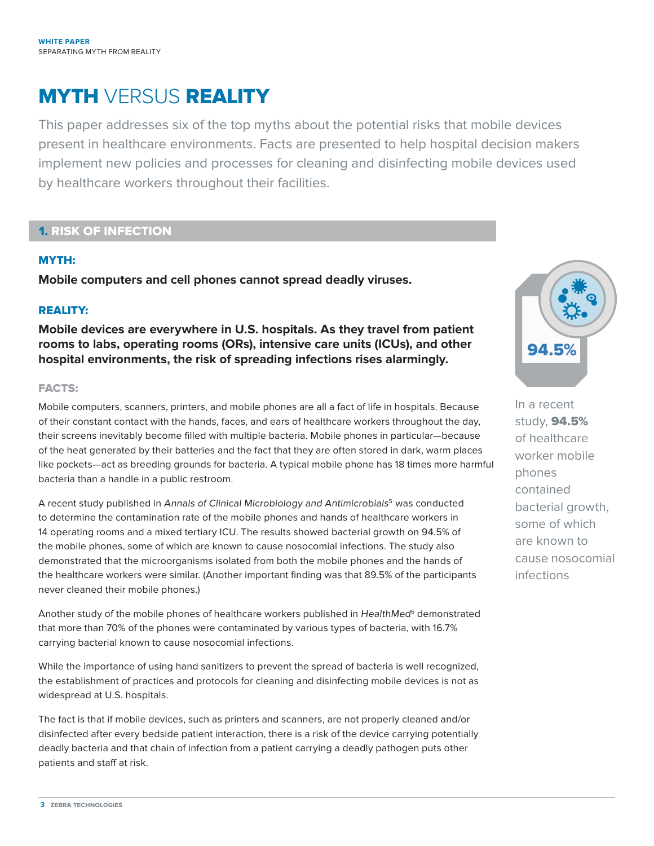## MYTH VERSUS REALITY

This paper addresses six of the top myths about the potential risks that mobile devices present in healthcare environments. Facts are presented to help hospital decision makers implement new policies and processes for cleaning and disinfecting mobile devices used by healthcare workers throughout their facilities.

## 1. RISK OF INFECTION

#### MYTH:

**Mobile computers and cell phones cannot spread deadly viruses.**

#### REALITY:

**Mobile devices are everywhere in U.S. hospitals. As they travel from patient rooms to labs, operating rooms (ORs), intensive care units (ICUs), and other hospital environments, the risk of spreading infections rises alarmingly.**

#### FACTS:

Mobile computers, scanners, printers, and mobile phones are all a fact of life in hospitals. Because of their constant contact with the hands, faces, and ears of healthcare workers throughout the day, their screens inevitably become filled with multiple bacteria. Mobile phones in particular—because of the heat generated by their batteries and the fact that they are often stored in dark, warm places like pockets—act as breeding grounds for bacteria. A typical mobile phone has 18 times more harmful bacteria than a handle in a public restroom.

A recent study published in Annals of Clinical Microbiology and Antimicrobials<sup>5</sup> was conducted to determine the contamination rate of the mobile phones and hands of healthcare workers in 14 operating rooms and a mixed tertiary ICU. The results showed bacterial growth on 94.5% of the mobile phones, some of which are known to cause nosocomial infections. The study also demonstrated that the microorganisms isolated from both the mobile phones and the hands of the healthcare workers were similar. (Another important finding was that 89.5% of the participants never cleaned their mobile phones.)

Another study of the mobile phones of healthcare workers published in HealthMed<sup>6</sup> demonstrated that more than 70% of the phones were contaminated by various types of bacteria, with 16.7% carrying bacterial known to cause nosocomial infections.

While the importance of using hand sanitizers to prevent the spread of bacteria is well recognized, the establishment of practices and protocols for cleaning and disinfecting mobile devices is not as widespread at U.S. hospitals.

The fact is that if mobile devices, such as printers and scanners, are not properly cleaned and/or disinfected after every bedside patient interaction, there is a risk of the device carrying potentially deadly bacteria and that chain of infection from a patient carrying a deadly pathogen puts other patients and staff at risk.



In a recent study, 94.5% of healthcare worker mobile phones contained bacterial growth, some of which are known to cause nosocomial infections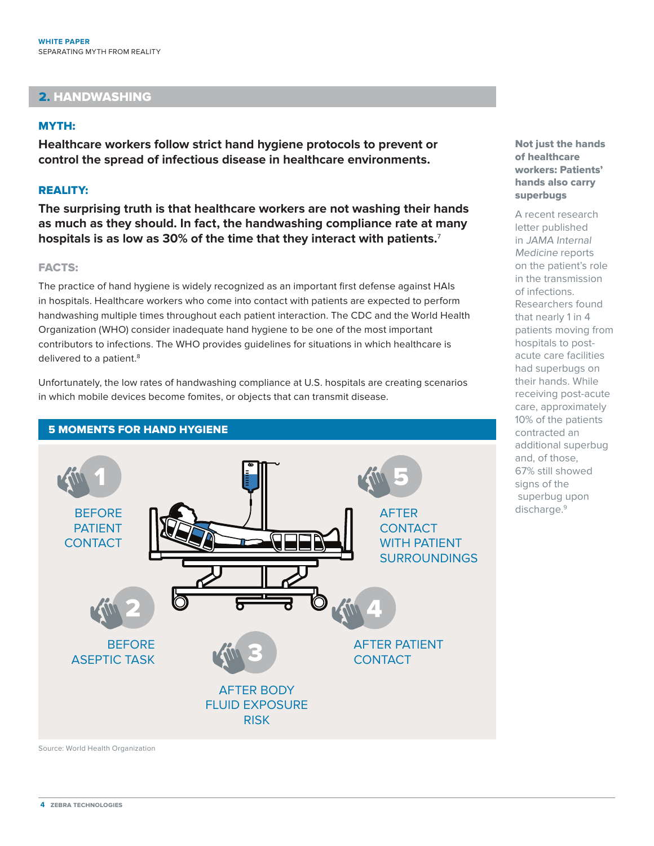### 2. HANDWASHING

#### MYTH:

**Healthcare workers follow strict hand hygiene protocols to prevent or control the spread of infectious disease in healthcare environments.**

#### REALITY:

**The surprising truth is that healthcare workers are not washing their hands as much as they should. In fact, the handwashing compliance rate at many hospitals is as low as 30% of the time that they interact with patients.**<sup>7</sup>

#### FACTS:

The practice of hand hygiene is widely recognized as an important first defense against HAIs in hospitals. Healthcare workers who come into contact with patients are expected to perform handwashing multiple times throughout each patient interaction. The CDC and the World Health Organization (WHO) consider inadequate hand hygiene to be one of the most important contributors to infections. The WHO provides guidelines for situations in which healthcare is delivered to a patient.<sup>8</sup>

Unfortunately, the low rates of handwashing compliance at U.S. hospitals are creating scenarios in which mobile devices become fomites, or objects that can transmit disease.



5 MOMENTS FOR HAND HYGIENE

Source: World Health Organization

Not just the hands of healthcare workers: Patients' hands also carry superbugs

A recent research letter published in JAMA Internal Medicine reports on the patient's role in the transmission of infections. Researchers found that nearly 1 in 4 patients moving from hospitals to postacute care facilities had superbugs on their hands. While receiving post-acute care, approximately 10% of the patients contracted an additional superbug and, of those, 67% still showed signs of the superbug upon discharge.<sup>9</sup>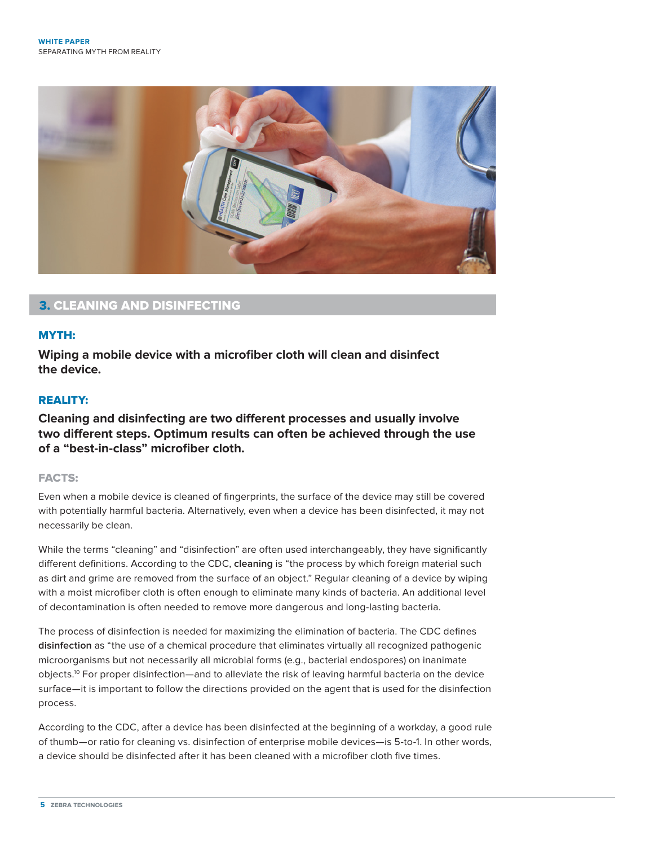

### 3. CLEANING AND DISINFECTING

#### MYTH:

**Wiping a mobile device with a microfiber cloth will clean and disinfect the device.**

#### REALITY:

**Cleaning and disinfecting are two different processes and usually involve two different steps. Optimum results can often be achieved through the use of a "best-in-class" microfiber cloth.**

#### FACTS:

Even when a mobile device is cleaned of fingerprints, the surface of the device may still be covered with potentially harmful bacteria. Alternatively, even when a device has been disinfected, it may not necessarily be clean.

While the terms "cleaning" and "disinfection" are often used interchangeably, they have significantly different definitions. According to the CDC, **cleaning** is "the process by which foreign material such as dirt and grime are removed from the surface of an object." Regular cleaning of a device by wiping with a moist microfiber cloth is often enough to eliminate many kinds of bacteria. An additional level of decontamination is often needed to remove more dangerous and long-lasting bacteria.

The process of disinfection is needed for maximizing the elimination of bacteria. The CDC defines **disinfection** as "the use of a chemical procedure that eliminates virtually all recognized pathogenic microorganisms but not necessarily all microbial forms (e.g., bacterial endospores) on inanimate objects.10 For proper disinfection—and to alleviate the risk of leaving harmful bacteria on the device surface—it is important to follow the directions provided on the agent that is used for the disinfection process.

According to the CDC, after a device has been disinfected at the beginning of a workday, a good rule of thumb—or ratio for cleaning vs. disinfection of enterprise mobile devices—is 5-to-1. In other words, a device should be disinfected after it has been cleaned with a microfiber cloth five times.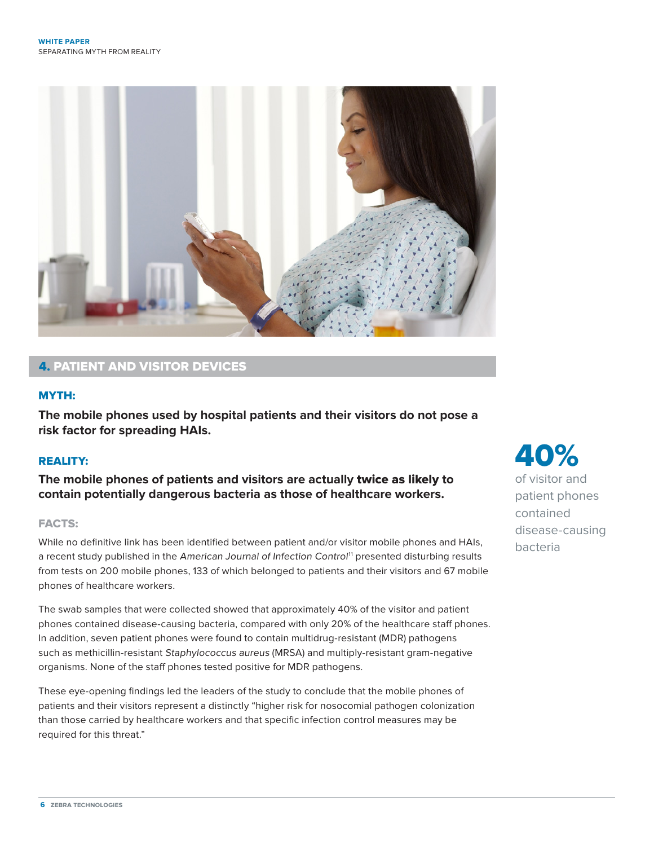

## 4. PATIENT AND VISITOR DEVICES

#### MYTH:

**The mobile phones used by hospital patients and their visitors do not pose a risk factor for spreading HAIs.**

#### REALITY:

**The mobile phones of patients and visitors are actually** twice as likely **to contain potentially dangerous bacteria as those of healthcare workers.**

#### FACTS:

While no definitive link has been identified between patient and/or visitor mobile phones and HAIs, a recent study published in the American Journal of Infection Control<sup>11</sup> presented disturbing results from tests on 200 mobile phones, 133 of which belonged to patients and their visitors and 67 mobile phones of healthcare workers.

The swab samples that were collected showed that approximately 40% of the visitor and patient phones contained disease-causing bacteria, compared with only 20% of the healthcare staff phones. In addition, seven patient phones were found to contain multidrug-resistant (MDR) pathogens such as methicillin-resistant Staphylococcus aureus (MRSA) and multiply-resistant gram-negative organisms. None of the staff phones tested positive for MDR pathogens.

These eye-opening findings led the leaders of the study to conclude that the mobile phones of patients and their visitors represent a distinctly "higher risk for nosocomial pathogen colonization than those carried by healthcare workers and that specific infection control measures may be required for this threat."

40% of visitor and patient phones contained disease-causing bacteria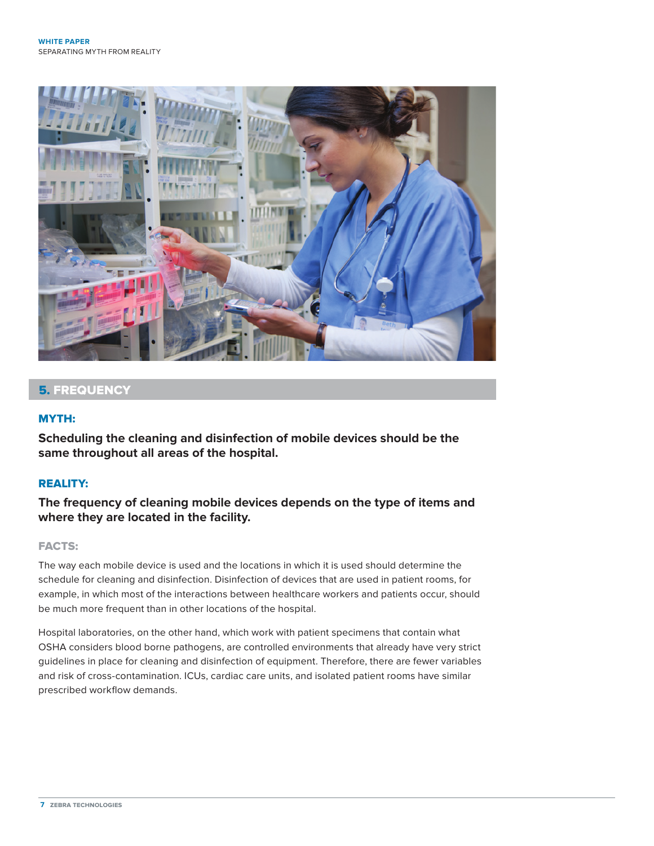

### 5. FREQUENCY

#### MYTH:

**Scheduling the cleaning and disinfection of mobile devices should be the same throughout all areas of the hospital.**

#### REALITY:

**The frequency of cleaning mobile devices depends on the type of items and where they are located in the facility.**

#### FACTS:

The way each mobile device is used and the locations in which it is used should determine the schedule for cleaning and disinfection. Disinfection of devices that are used in patient rooms, for example, in which most of the interactions between healthcare workers and patients occur, should be much more frequent than in other locations of the hospital.

Hospital laboratories, on the other hand, which work with patient specimens that contain what OSHA considers blood borne pathogens, are controlled environments that already have very strict guidelines in place for cleaning and disinfection of equipment. Therefore, there are fewer variables and risk of cross-contamination. ICUs, cardiac care units, and isolated patient rooms have similar prescribed workflow demands.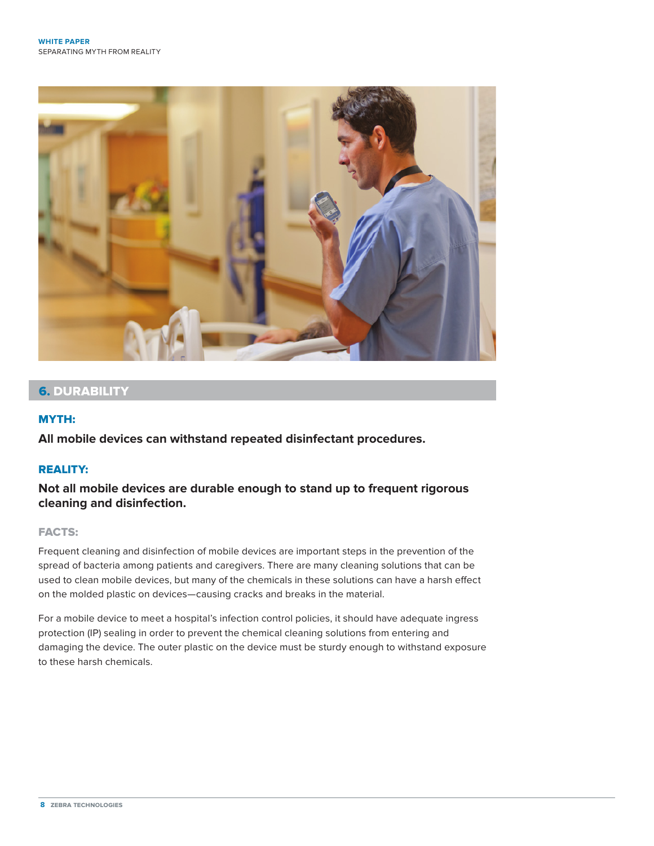

## 6. DURABILITY

#### MYTH:

**All mobile devices can withstand repeated disinfectant procedures.**

#### REALITY:

**Not all mobile devices are durable enough to stand up to frequent rigorous cleaning and disinfection.**

#### FACTS:

Frequent cleaning and disinfection of mobile devices are important steps in the prevention of the spread of bacteria among patients and caregivers. There are many cleaning solutions that can be used to clean mobile devices, but many of the chemicals in these solutions can have a harsh effect on the molded plastic on devices—causing cracks and breaks in the material.

For a mobile device to meet a hospital's infection control policies, it should have adequate ingress protection (IP) sealing in order to prevent the chemical cleaning solutions from entering and damaging the device. The outer plastic on the device must be sturdy enough to withstand exposure to these harsh chemicals.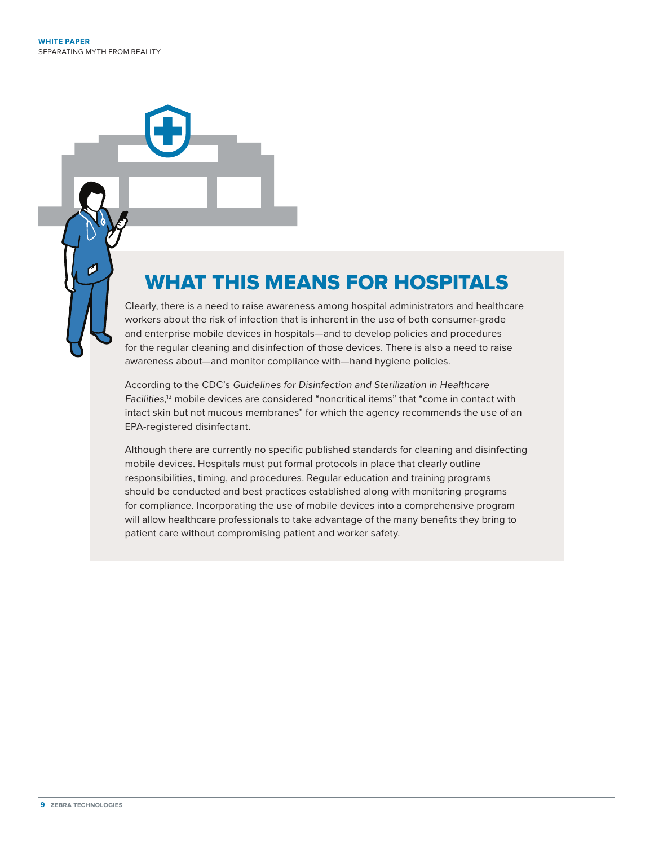## WHAT THIS MEANS FOR HOSPITALS

Clearly, there is a need to raise awareness among hospital administrators and healthcare workers about the risk of infection that is inherent in the use of both consumer-grade and enterprise mobile devices in hospitals—and to develop policies and procedures for the regular cleaning and disinfection of those devices. There is also a need to raise awareness about—and monitor compliance with—hand hygiene policies.

According to the CDC's Guidelines for Disinfection and Sterilization in Healthcare Facilities, 12 mobile devices are considered "noncritical items" that "come in contact with intact skin but not mucous membranes" for which the agency recommends the use of an EPA-registered disinfectant.

Although there are currently no specific published standards for cleaning and disinfecting mobile devices. Hospitals must put formal protocols in place that clearly outline responsibilities, timing, and procedures. Regular education and training programs should be conducted and best practices established along with monitoring programs for compliance. Incorporating the use of mobile devices into a comprehensive program will allow healthcare professionals to take advantage of the many benefits they bring to patient care without compromising patient and worker safety.